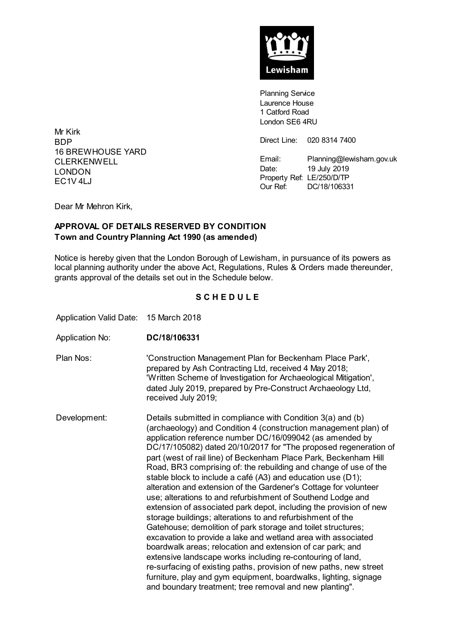

**Planning Service** Laurence House 1 Catford Road London SE6 4RU

Direct Line: 020 8314 7400

Email: Planning@lewisham.gov.uk Date: 19 July 2019 Property Ref: LE/250/D/TP Our Ref: DC/18/106331

BDP 16 BREWHOUSE YARD **CLERKENWELL** LONDON  $FC1V4I.J$ 

Mr Kirk

Dear Mr Mehron Kirk,

## **APPROVAL OF DETAILS RESERVED BY CONDITION Town and Country Planning Act 1990 (as amended)**

Notice is hereby given that the London Borough of Lewisham, in pursuance of its powers as local planning authority under the above Act, Regulations, Rules & Orders made thereunder, grants approval of the details set out in the Schedule below.

## **S C H E D U L E**

Application Valid Date: 15 March 2018

- Application No: **DC/18/106331**
- Plan Nos: 'Construction Management Plan for Beckenham Place Park', prepared by Ash Contracting Ltd, received 4 May 2018; 'Written Scheme of Investigation for Archaeological Mitigation', dated July 2019, prepared by Pre-Construct Archaeology Ltd, received July 2019;

Development: Details submitted in compliance with Condition 3(a) and (b) (archaeology) and Condition 4 (construction management plan) of application reference number DC/16/099042 (as amended by DC/17/105082) dated 20/10/2017 for "The proposed regeneration of part (west of rail line) of Beckenham Place Park, Beckenham Hill Road, BR3 comprising of: the rebuilding and change of use of the stable block to include a café (A3) and education use (D1); alteration and extension of the Gardener's Cottage for volunteer use; alterations to and refurbishment of Southend Lodge and extension of associated park depot, including the provision of new storage buildings; alterations to and refurbishment of the Gatehouse; demolition of park storage and toilet structures; excavation to provide a lake and wetland area with associated boardwalk areas; relocation and extension of car park; and extensive landscape works including re-contouring of land, re-surfacing of existing paths, provision of new paths, new street furniture, play and gym equipment, boardwalks, lighting, signage and boundary treatment; tree removal and new planting".